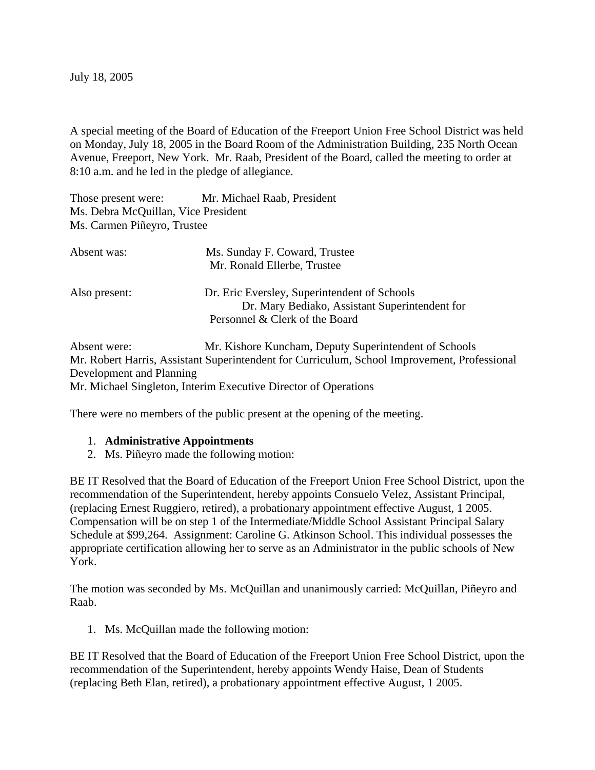July 18, 2005

A special meeting of the Board of Education of the Freeport Union Free School District was held on Monday, July 18, 2005 in the Board Room of the Administration Building, 235 North Ocean Avenue, Freeport, New York. Mr. Raab, President of the Board, called the meeting to order at 8:10 a.m. and he led in the pledge of allegiance.

Those present were: Mr. Michael Raab, President Ms. Debra McQuillan, Vice President Ms. Carmen Piñeyro, Trustee

| Absent was:   | Ms. Sunday F. Coward, Trustee<br>Mr. Ronald Ellerbe, Trustee                                                                     |
|---------------|----------------------------------------------------------------------------------------------------------------------------------|
| Also present: | Dr. Eric Eversley, Superintendent of Schools<br>Dr. Mary Bediako, Assistant Superintendent for<br>Personnel & Clerk of the Board |
| Absent were:  | Mr. Kishore Kuncham, Deputy Superintendent of Schools                                                                            |

Mr. Robert Harris, Assistant Superintendent for Curriculum, School Improvement, Professional Development and Planning Mr. Michael Singleton, Interim Executive Director of Operations

There were no members of the public present at the opening of the meeting.

## 1. **Administrative Appointments**

2. Ms. Piñeyro made the following motion:

BE IT Resolved that the Board of Education of the Freeport Union Free School District, upon the recommendation of the Superintendent, hereby appoints Consuelo Velez, Assistant Principal, (replacing Ernest Ruggiero, retired), a probationary appointment effective August, 1 2005. Compensation will be on step 1 of the Intermediate/Middle School Assistant Principal Salary Schedule at \$99,264. Assignment: Caroline G. Atkinson School. This individual possesses the appropriate certification allowing her to serve as an Administrator in the public schools of New York.

The motion was seconded by Ms. McQuillan and unanimously carried: McQuillan, Piñeyro and Raab.

1. Ms. McQuillan made the following motion:

BE IT Resolved that the Board of Education of the Freeport Union Free School District, upon the recommendation of the Superintendent, hereby appoints Wendy Haise, Dean of Students (replacing Beth Elan, retired), a probationary appointment effective August, 1 2005.